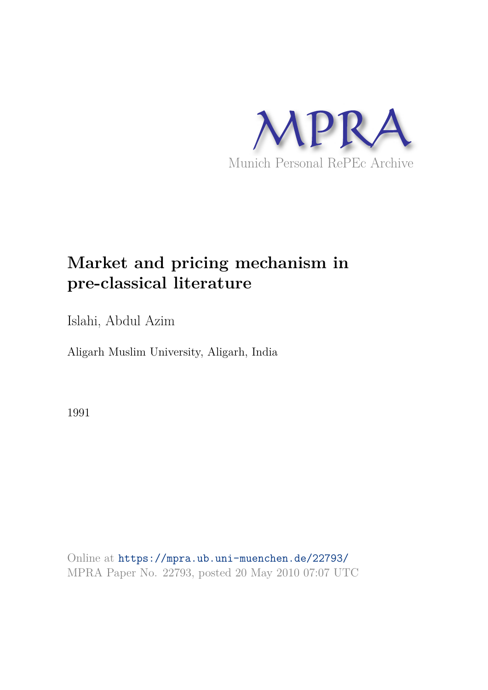

# **Market and pricing mechanism in pre-classical literature**

Islahi, Abdul Azim

Aligarh Muslim University, Aligarh, India

1991

Online at https://mpra.ub.uni-muenchen.de/22793/ MPRA Paper No. 22793, posted 20 May 2010 07:07 UTC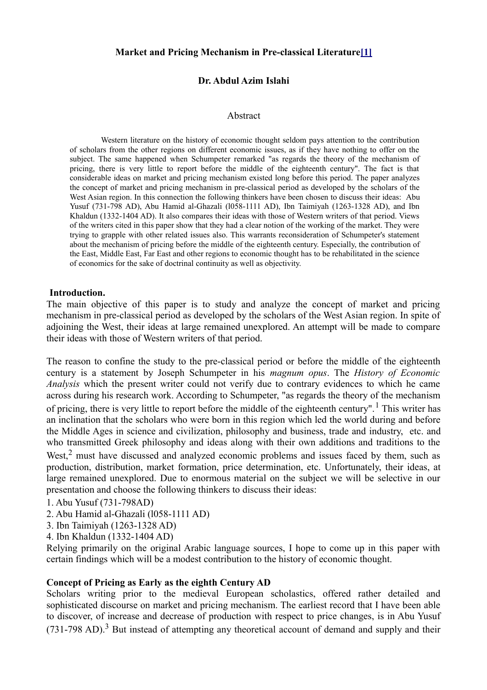#### **Market and Pricing Mechanism in Pre-classical Literature[1]**

## **Dr. Abdul Azim Islahi**

#### Abstract

 Western literature on the history of economic thought seldom pays attention to the contribution of scholars from the other regions on different economic issues, as if they have nothing to offer on the subject. The same happened when Schumpeter remarked "as regards the theory of the mechanism of pricing, there is very little to report before the middle of the eighteenth century". The fact is that considerable ideas on market and pricing mechanism existed long before this period. The paper analyzes the concept of market and pricing mechanism in pre-classical period as developed by the scholars of the West Asian region. In this connection the following thinkers have been chosen to discuss their ideas: Abu Yusuf (731-798 AD), Abu Hamid al-Ghazali (l058-1111 AD), Ibn Taimiyah (1263-1328 AD), and Ibn Khaldun (1332-1404 AD). It also compares their ideas with those of Western writers of that period. Views of the writers cited in this paper show that they had a clear notion of the working of the market. They were trying to grapple with other related issues also. This warrants reconsideration of Schumpeter's statement about the mechanism of pricing before the middle of the eighteenth century. Especially, the contribution of the East, Middle East, Far East and other regions to economic thought has to be rehabilitated in the science of economics for the sake of doctrinal continuity as well as objectivity.

#### **Introduction.**

The main objective of this paper is to study and analyze the concept of market and pricing mechanism in pre-classical period as developed by the scholars of the West Asian region. In spite of adjoining the West, their ideas at large remained unexplored. An attempt will be made to compare their ideas with those of Western writers of that period.

The reason to confine the study to the pre-classical period or before the middle of the eighteenth century is a statement by Joseph Schumpeter in his *magnum opus*. The *History of Economic Analysis* which the present writer could not verify due to contrary evidences to which he came across during his research work. According to Schumpeter, "as regards the theory of the mechanism of pricing, there is very little to report before the middle of the eighteenth century".<sup>1</sup> This writer has an inclination that the scholars who were born in this region which led the world during and before the Middle Ages in science and civilization, philosophy and business, trade and industry, etc. and who transmitted Greek philosophy and ideas along with their own additions and traditions to the West, $<sup>2</sup>$  must have discussed and analyzed economic problems and issues faced by them, such as</sup> production, distribution, market formation, price determination, etc. Unfortunately, their ideas, at large remained unexplored. Due to enormous material on the subject we will be selective in our presentation and choose the following thinkers to discuss their ideas:

- 1. Abu Yusuf (731-798AD)
- 2. Abu Hamid al-Ghazali (l058-1111 AD)
- 3. Ibn Taimiyah (1263-1328 AD)
- 4. Ibn Khaldun (1332-1404 AD)

Relying primarily on the original Arabic language sources, I hope to come up in this paper with certain findings which will be a modest contribution to the history of economic thought.

## **Concept of Pricing as Early as the eighth Century AD**

Scholars writing prior to the medieval European scholastics, offered rather detailed and sophisticated discourse on market and pricing mechanism. The earliest record that I have been able to discover, of increase and decrease of production with respect to price changes, is in Abu Yusuf  $(731-798$  AD).<sup>3</sup> But instead of attempting any theoretical account of demand and supply and their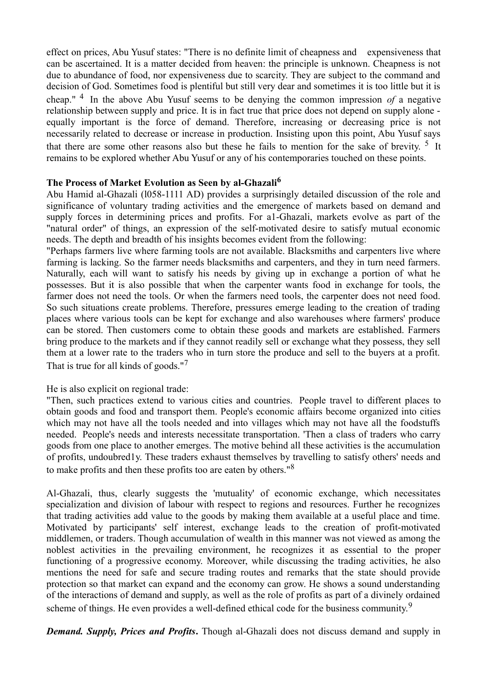effect on prices, Abu Yusuf states: "There is no definite limit of cheapness and expensiveness that can be ascertained. It is a matter decided from heaven: the principle is unknown. Cheapness is not due to abundance of food, nor expensiveness due to scarcity. They are subject to the command and decision of God. Sometimes food is plentiful but still very dear and sometimes it is too little but it is cheap." 4 In the above Abu Yusuf seems to be denying the common impression *of* a negative relationship between supply and price. It is in fact true that price does not depend on supply alone equally important is the force of demand. Therefore, increasing or decreasing price is not necessarily related to decrease or increase in production. Insisting upon this point, Abu Yusuf says that there are some other reasons also but these he fails to mention for the sake of brevity.  $\frac{5}{1}$  It remains to be explored whether Abu Yusuf or any of his contemporaries touched on these points.

## **The Process of Market Evolution as Seen by al-Ghazali<sup>6</sup>**

Abu Hamid al-Ghazali (l058-1111 AD) provides a surprisingly detailed discussion of the role and significance of voluntary trading activities and the emergence of markets based on demand and supply forces in determining prices and profits. For a1-Ghazali, markets evolve as part of the "natural order" of things, an expression of the self-motivated desire to satisfy mutual economic needs. The depth and breadth of his insights becomes evident from the following:

"Perhaps farmers live where farming tools are not available. Blacksmiths and carpenters live where farming is lacking. So the farmer needs blacksmiths and carpenters, and they in turn need farmers. Naturally, each will want to satisfy his needs by giving up in exchange a portion of what he possesses. But it is also possible that when the carpenter wants food in exchange for tools, the farmer does not need the tools. Or when the farmers need tools, the carpenter does not need food. So such situations create problems. Therefore, pressures emerge leading to the creation of trading places where various tools can be kept for exchange and also warehouses where farmers' produce can be stored. Then customers come to obtain these goods and markets are established. Farmers bring produce to the markets and if they cannot readily sell or exchange what they possess, they sell them at a lower rate to the traders who in turn store the produce and sell to the buyers at a profit. That is true for all kinds of goods."<sup>7</sup>

He is also explicit on regional trade:

"Then, such practices extend to various cities and countries. People travel to different places to obtain goods and food and transport them. People's economic affairs become organized into cities which may not have all the tools needed and into villages which may not have all the foodstuffs needed. People's needs and interests necessitate transportation. 'Then a class of traders who carry goods from one place to another emerges. The motive behind all these activities is the accumulation of profits, undoubred1y. These traders exhaust themselves by travelling to satisfy others' needs and to make profits and then these profits too are eaten by others."<sup>8</sup>

Al-Ghazali, thus, clearly suggests the 'mutuality' of economic exchange, which necessitates specialization and division of labour with respect to regions and resources. Further he recognizes that trading activities add value to the goods by making them available at a useful place and time. Motivated by participants' self interest, exchange leads to the creation of profit-motivated middlemen, or traders. Though accumulation of wealth in this manner was not viewed as among the noblest activities in the prevailing environment, he recognizes it as essential to the proper functioning of a progressive economy. Moreover, while discussing the trading activities, he also mentions the need for safe and secure trading routes and remarks that the state should provide protection so that market can expand and the economy can grow. He shows a sound understanding of the interactions of demand and supply, as well as the role of profits as part of a divinely ordained scheme of things. He even provides a well-defined ethical code for the business community.<sup>9</sup>

*Demand. Supply, Prices and Profits***.** Though al-Ghazali does not discuss demand and supply in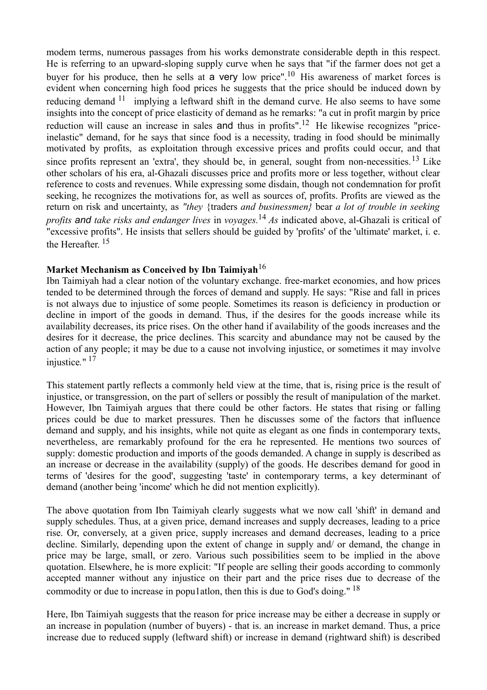modem terms, numerous passages from his works demonstrate considerable depth in this respect. He is referring to an upward-sloping supply curve when he says that "if the farmer does not get a buyer for his produce, then he sells at a very low price".<sup>10</sup> His awareness of market forces is evident when concerning high food prices he suggests that the price should be induced down by reducing demand  $11$  implying a leftward shift in the demand curve. He also seems to have some insights into the concept of price elasticity of demand as he remarks: "a cut in profit margin by price reduction will cause an increase in sales and thus in profits".<sup>12</sup> He likewise recognizes "priceinelastic" demand, for he says that since food is a necessity, trading in food should be minimally motivated by profits, as exploitation through excessive prices and profits could occur, and that since profits represent an 'extra', they should be, in general, sought from non-necessities.<sup>13</sup> Like other scholars of his era, al-Ghazali discusses price and profits more or less together, without clear reference to costs and revenues. While expressing some disdain, though not condemnation for profit seeking, he recognizes the motivations for, as well as sources of, profits. Profits are viewed as the return on risk and uncertainty, as *"they* {traders *and businessmen}* bear *a lot of trouble in seeking profits and take risks and endanger lives* in *voyages.*<sup>14</sup> *As* indicated above, al-Ghazali is critical of "excessive profits". He insists that sellers should be guided by 'profits' of the 'ultimate' market, i. e. the Hereafter. $15$ 

# **Market Mechanism as Conceived by Ibn Taimiyah**<sup>16</sup>

Ibn Taimiyah had a clear notion of the voluntary exchange. free-market economies, and how prices tended to be determined through the forces of demand and supply. He says: "Rise and fall in prices is not always due to injustice of some people. Sometimes its reason is deficiency in production or decline in import of the goods in demand. Thus, if the desires for the goods increase while its availability decreases, its price rises. On the other hand if availability of the goods increases and the desires for it decrease, the price declines. This scarcity and abundance may not be caused by the action of any people; it may be due to a cause not involving injustice, or sometimes it may involve injustice*.*" 17

This statement partly reflects a commonly held view at the time, that is, rising price is the result of injustice, or transgression, on the part of sellers or possibly the result of manipulation of the market. However, Ibn Taimiyah argues that there could be other factors. He states that rising or falling prices could be due to market pressures. Then he discusses some of the factors that influence demand and supply, and his insights, while not quite as elegant as one finds in contemporary texts, nevertheless, are remarkably profound for the era he represented. He mentions two sources of supply: domestic production and imports of the goods demanded. A change in supply is described as an increase or decrease in the availability (supply) of the goods. He describes demand for good in terms of 'desires for the good', suggesting 'taste' in contemporary terms, a key determinant of demand (another being 'income' which he did not mention explicitly).

The above quotation from Ibn Taimiyah clearly suggests what we now call 'shift' in demand and supply schedules. Thus, at a given price, demand increases and supply decreases, leading to a price rise. Or, conversely, at a given price, supply increases and demand decreases, leading to a price decline. Similarly, depending upon the extent of change in supply and/ or demand, the change in price may be large, small, or zero. Various such possibilities seem to be implied in the above quotation. Elsewhere, he is more explicit: "If people are selling their goods according to commonly accepted manner without any injustice on their part and the price rises due to decrease of the commodity or due to increase in population, then this is due to God's doing."<sup>18</sup>

Here, Ibn Taimiyah suggests that the reason for price increase may be either a decrease in supply or an increase in population (number of buyers) - that is. an increase in market demand. Thus, a price increase due to reduced supply (leftward shift) or increase in demand (rightward shift) is described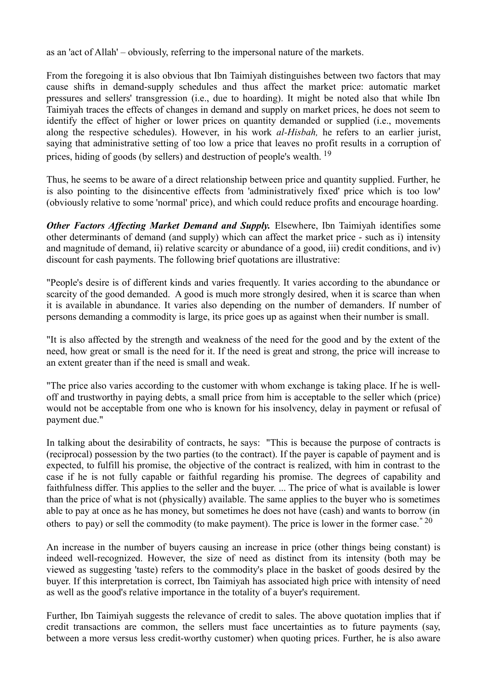as an 'act of Allah' – obviously, referring to the impersonal nature of the markets.

From the foregoing it is also obvious that Ibn Taimiyah distinguishes between two factors that may cause shifts in demand-supply schedules and thus affect the market price: automatic market pressures and sellers' transgression (i.e., due to hoarding). It might be noted also that while Ibn Taimiyah traces the effects of changes in demand and supply on market prices, he does not seem to identify the effect of higher or lower prices on quantity demanded or supplied (i.e., movements along the respective schedules). However, in his work *al-Hisbah,* he refers to an earlier jurist, saying that administrative setting of too low a price that leaves no profit results in a corruption of prices, hiding of goods (by sellers) and destruction of people's wealth.<sup>19</sup>

Thus, he seems to be aware of a direct relationship between price and quantity supplied. Further, he is also pointing to the disincentive effects from 'administratively fixed' price which is too low' (obviously relative to some 'normal' price), and which could reduce profits and encourage hoarding.

*Other Factors Affecting Market Demand and Supply.* Elsewhere, Ibn Taimiyah identifies some other determinants of demand (and supply) which can affect the market price - such as i) intensity and magnitude of demand, ii) relative scarcity or abundance of a good, iii) credit conditions, and iv) discount for cash payments. The following brief quotations are illustrative:

"People's desire is of different kinds and varies frequently. It varies according to the abundance or scarcity of the good demanded. A good is much more strongly desired, when it is scarce than when it is available in abundance. It varies also depending on the number of demanders. If number of persons demanding a commodity is large, its price goes up as against when their number is small.

"It is also affected by the strength and weakness of the need for the good and by the extent of the need, how great or small is the need for it. If the need is great and strong, the price will increase to an extent greater than if the need is small and weak.

"The price also varies according to the customer with whom exchange is taking place. If he is welloff and trustworthy in paying debts, a small price from him is acceptable to the seller which (price) would not be acceptable from one who is known for his insolvency, delay in payment or refusal of payment due."

In talking about the desirability of contracts, he says: "This is because the purpose of contracts is (reciprocal) possession by the two parties (to the contract). If the payer is capable of payment and is expected, to fulfill his promise, the objective of the contract is realized, with him in contrast to the case if he is not fully capable or faithful regarding his promise. The degrees of capability and faithfulness differ. This applies to the seller and the buyer. ... The price of what is available is lower than the price of what is not (physically) available. The same applies to the buyer who is sometimes able to pay at once as he has money, but sometimes he does not have (cash) and wants to borrow (in others to pay) or sell the commodity (to make payment). The price is lower in the former case.  $20$ 

An increase in the number of buyers causing an increase in price (other things being constant) is indeed well-recognized. However, the size of need as distinct from its intensity (both may be viewed as suggesting 'taste) refers to the commodity's place in the basket of goods desired by the buyer. If this interpretation is correct, Ibn Taimiyah has associated high price with intensity of need as well as the good's relative importance in the totality of a buyer's requirement.

Further, Ibn Taimiyah suggests the relevance of credit to sales. The above quotation implies that if credit transactions are common, the sellers must face uncertainties as to future payments (say, between a more versus less credit-worthy customer) when quoting prices. Further, he is also aware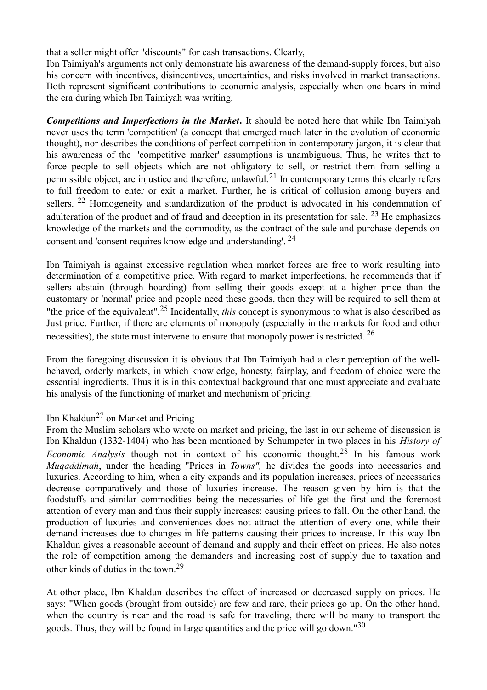that a seller might offer "discounts" for cash transactions. Clearly,

Ibn Taimiyah's arguments not only demonstrate his awareness of the demand-supply forces, but also his concern with incentives, disincentives, uncertainties, and risks involved in market transactions. Both represent significant contributions to economic analysis, especially when one bears in mind the era during which Ibn Taimiyah was writing.

*Competitions and Imperfections in the Market***.** It should be noted here that while Ibn Taimiyah never uses the term 'competition' (a concept that emerged much later in the evolution of economic thought), nor describes the conditions of perfect competition in contemporary jargon, it is clear that his awareness of the 'competitive marker' assumptions is unambiguous. Thus, he writes that to force people to sell objects which are not obligatory to sell, or restrict them from selling a permissible object, are injustice and therefore, unlawful.21 In contemporary terms this clearly refers to full freedom to enter or exit a market. Further, he is critical of collusion among buyers and sellers. <sup>22</sup> Homogeneity and standardization of the product is advocated in his condemnation of adulteration of the product and of fraud and deception in its presentation for sale. <sup>23</sup> He emphasizes knowledge of the markets and the commodity, as the contract of the sale and purchase depends on consent and 'consent requires knowledge and understanding'.<sup>24</sup>

Ibn Taimiyah is against excessive regulation when market forces are free to work resulting into determination of a competitive price. With regard to market imperfections, he recommends that if sellers abstain (through hoarding) from selling their goods except at a higher price than the customary or 'normal' price and people need these goods, then they will be required to sell them at "the price of the equivalent".25 Incidentally, *this* concept is synonymous to what is also described as Just price. Further, if there are elements of monopoly (especially in the markets for food and other necessities), the state must intervene to ensure that monopoly power is restricted.<sup>26</sup>

From the foregoing discussion it is obvious that Ibn Taimiyah had a clear perception of the wellbehaved, orderly markets, in which knowledge, honesty, fairplay, and freedom of choice were the essential ingredients. Thus it is in this contextual background that one must appreciate and evaluate his analysis of the functioning of market and mechanism of pricing.

# Ibn Khaldun<sup>27</sup> on Market and Pricing

From the Muslim scholars who wrote on market and pricing, the last in our scheme of discussion is Ibn Khaldun (1332-1404) who has been mentioned by Schumpeter in two places in his *History of Economic Analysis* though not in context of his economic thought.<sup>28</sup> In his famous work *Muqaddimah*, under the heading "Prices in *Towns",* he divides the goods into necessaries and luxuries. According to him, when a city expands and its population increases, prices of necessaries decrease comparatively and those of luxuries increase. The reason given by him is that the foodstuffs and similar commodities being the necessaries of life get the first and the foremost attention of every man and thus their supply increases: causing prices to fall. On the other hand, the production of luxuries and conveniences does not attract the attention of every one, while their demand increases due to changes in life patterns causing their prices to increase. In this way Ibn Khaldun gives a reasonable account of demand and supply and their effect on prices. He also notes the role of competition among the demanders and increasing cost of supply due to taxation and other kinds of duties in the town.<sup>29</sup>

At other place, Ibn Khaldun describes the effect of increased or decreased supply on prices. He says: "When goods (brought from outside) are few and rare, their prices go up. On the other hand, when the country is near and the road is safe for traveling, there will be many to transport the goods. Thus, they will be found in large quantities and the price will go down."<sup>30</sup>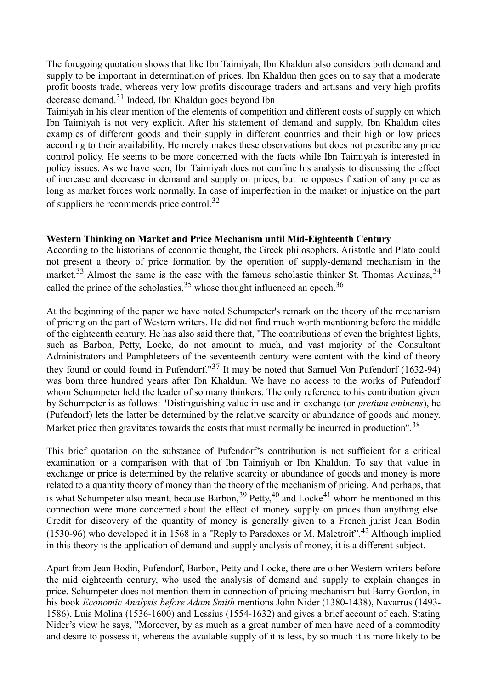The foregoing quotation shows that like Ibn Taimiyah, Ibn Khaldun also considers both demand and supply to be important in determination of prices. Ibn Khaldun then goes on to say that a moderate profit boosts trade, whereas very low profits discourage traders and artisans and very high profits decrease demand.31 Indeed, Ibn Khaldun goes beyond Ibn

Taimiyah in his clear mention of the elements of competition and different costs of supply on which Ibn Taimiyah is not very explicit. After his statement of demand and supply, Ibn Khaldun cites examples of different goods and their supply in different countries and their high or low prices according to their availability. He merely makes these observations but does not prescribe any price control policy. He seems to be more concerned with the facts while Ibn Taimiyah is interested in policy issues. As we have seen, Ibn Taimiyah does not confine his analysis to discussing the effect of increase and decrease in demand and supply on prices, but he opposes fixation of any price as long as market forces work normally. In case of imperfection in the market or injustice on the part of suppliers he recommends price control.<sup>32</sup>

# **Western Thinking on Market and Price Mechanism until Mid-Eighteenth Century**

According to the historians of economic thought, the Greek philosophers, Aristotle and Plato could not present a theory of price formation by the operation of supply-demand mechanism in the market.<sup>33</sup> Almost the same is the case with the famous scholastic thinker St. Thomas Aquinas,  $34$ called the prince of the scholastics,  $35$  whose thought influenced an epoch.  $36$ 

At the beginning of the paper we have noted Schumpeter's remark on the theory of the mechanism of pricing on the part of Western writers. He did not find much worth mentioning before the middle of the eighteenth century. He has also said there that, "The contributions of even the brightest lights, such as Barbon, Petty, Locke, do not amount to much, and vast majority of the Consultant Administrators and Pamphleteers of the seventeenth century were content with the kind of theory they found or could found in Pufendorf."37 It may be noted that Samuel Von Pufendorf (1632-94) was born three hundred years after Ibn Khaldun. We have no access to the works of Pufendorf whom Schumpeter held the leader of so many thinkers. The only reference to his contribution given by Schumpeter is as follows: "Distinguishing value in use and in exchange (or *pretium eminens*), he (Pufendorf) lets the latter be determined by the relative scarcity or abundance of goods and money. Market price then gravitates towards the costs that must normally be incurred in production".<sup>38</sup>

This brief quotation on the substance of Pufendorf's contribution is not sufficient for a critical examination or a comparison with that of Ibn Taimiyah or Ibn Khaldun. To say that value in exchange or price is determined by the relative scarcity or abundance of goods and money is more related to a quantity theory of money than the theory of the mechanism of pricing. And perhaps, that is what Schumpeter also meant, because Barbon,  $39$  Petty,  $40$  and Locke<sup>41</sup> whom he mentioned in this connection were more concerned about the effect of money supply on prices than anything else. Credit for discovery of the quantity of money is generally given to a French jurist Jean Bodin (1530-96) who developed it in 1568 in a "Reply to Paradoxes or M. Maletroit". <sup>42</sup> Although implied in this theory is the application of demand and supply analysis of money, it is a different subject.

Apart from Jean Bodin, Pufendorf, Barbon, Petty and Locke, there are other Western writers before the mid eighteenth century, who used the analysis of demand and supply to explain changes in price. Schumpeter does not mention them in connection of pricing mechanism but Barry Gordon, in his book *Economic Analysis before Adam Smith* mentions John Nider (1380-1438), Navarrus (1493- 1586), Luis Molina (1536-1600) and Lessius (1554-1632) and gives a brief account of each. Stating Nider's view he says, "Moreover, by as much as a great number of men have need of a commodity and desire to possess it, whereas the available supply of it is less, by so much it is more likely to be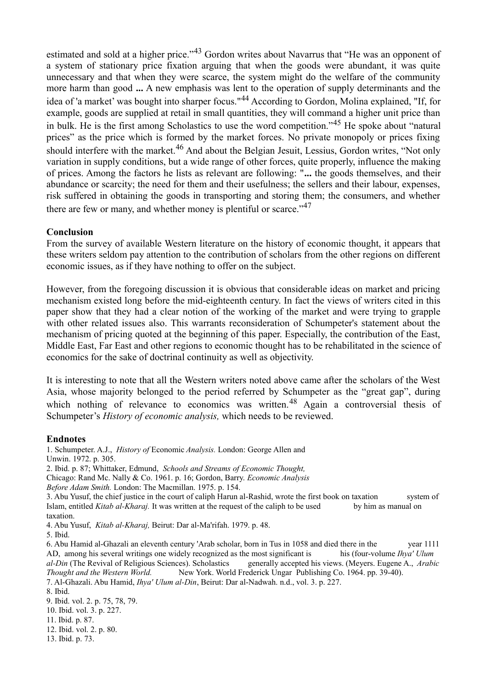estimated and sold at a higher price."<sup>43</sup> Gordon writes about Navarrus that "He was an opponent of a system of stationary price fixation arguing that when the goods were abundant, it was quite unnecessary and that when they were scarce, the system might do the welfare of the community more harm than good **...** A new emphasis was lent to the operation of supply determinants and the idea of 'a market' was bought into sharper focus."44 According to Gordon, Molina explained, "If, for example, goods are supplied at retail in small quantities, they will command a higher unit price than in bulk. He is the first among Scholastics to use the word competition."45 He spoke about "natural prices" as the price which is formed by the market forces. No private monopoly or prices fixing should interfere with the market.<sup>46</sup> And about the Belgian Jesuit, Lessius, Gordon writes, "Not only variation in supply conditions, but a wide range of other forces, quite properly, influence the making of prices. Among the factors he lists as relevant are following: "**...** the goods themselves, and their abundance or scarcity; the need for them and their usefulness; the sellers and their labour, expenses, risk suffered in obtaining the goods in transporting and storing them; the consumers, and whether there are few or many, and whether money is plentiful or scarce.<sup> $347$ </sup>

#### **Conclusion**

From the survey of available Western literature on the history of economic thought, it appears that these writers seldom pay attention to the contribution of scholars from the other regions on different economic issues, as if they have nothing to offer on the subject.

However, from the foregoing discussion it is obvious that considerable ideas on market and pricing mechanism existed long before the mid-eighteenth century. In fact the views of writers cited in this paper show that they had a clear notion of the working of the market and were trying to grapple with other related issues also. This warrants reconsideration of Schumpeter's statement about the mechanism of pricing quoted at the beginning of this paper. Especially, the contribution of the East, Middle East, Far East and other regions to economic thought has to be rehabilitated in the science of economics for the sake of doctrinal continuity as well as objectivity.

It is interesting to note that all the Western writers noted above came after the scholars of the West Asia, whose majority belonged to the period referred by Schumpeter as the "great gap", during which nothing of relevance to economics was written.<sup>48</sup> Again a controversial thesis of Schumpeter's *History of economic analysis,* which needs to be reviewed.

## **Endnotes**

1. Schumpeter. A.J., *History of* Economic *Analysis.* London: George Allen and

Unwin. 1972. p. 305.

2. Ibid. p. 87; Whittaker, Edmund, *Schools and Streams of Economic Thought,*

Chicago: Rand Mc. Nally & Co. 1961. p. 16; Gordon, Barry. *Economic Analysis*

3. Abu Yusuf, the chief justice in the court of caliph Harun al-Rashid, wrote the first book on taxation system of Islam, entitled *Kitab al-Kharaj.* It was written at the request of the caliph to be used by him as manual on taxation.

4. Abu Yusuf, *Kitab al-Kharaj,* Beirut: Dar al-Ma'rifah. 1979. p. 48.

6. Abu Hamid al-Ghazali an eleventh century 'Arab scholar, born in Tus in 1058 and died there in the year 1111 AD, among his several writings one widely recognized as the most significant is his (four-volume *Ihya' Ulum al-Din* (The Revival of Religious Sciences). Scholastics generally accepted his views. (Meyers. Eugene A., *Arabic Thought and the Western World.* New York. World Frederick Ungar Publishing Co. 1964. pp. 39-40).

7. Al-Ghazali. Abu Hamid, *Ihya' Ulum al-Din*, Beirut: Dar al-Nadwah. n.d., vol. 3. p. 227.

8. Ibid.

9. Ibid. vol. 2. p. 75, 78, 79.

10. Ibid. vol. 3. p. 227.

11. Ibid. p. 87.

12. Ibid. vol. 2. p. 80.

13. Ibid. p. 73.

*Before Adam Smith.* London: The Macmillan. 1975. p. 154.

<sup>5.</sup> Ibid.